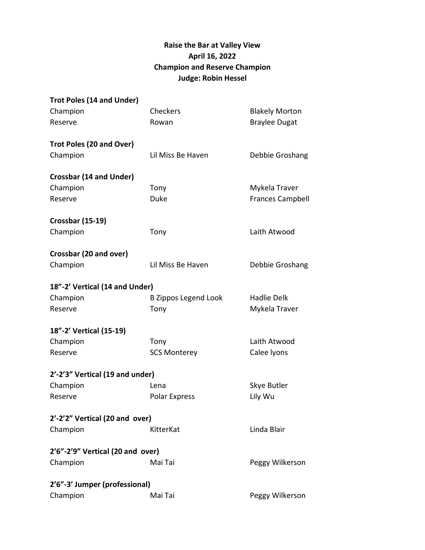## **Raise the Bar at Valley View April 16, 2022 Champion and Reserve Champion Judge: Robin Hessel**

| <b>Trot Poles (14 and Under)</b> |                             |                         |
|----------------------------------|-----------------------------|-------------------------|
| Champion                         | Checkers                    | <b>Blakely Morton</b>   |
| Reserve                          | Rowan                       | <b>Braylee Dugat</b>    |
| Trot Poles (20 and Over)         |                             |                         |
| Champion                         | Lil Miss Be Haven           | Debbie Groshang         |
| <b>Crossbar (14 and Under)</b>   |                             |                         |
| Champion                         | Tony                        | Mykela Traver           |
| Reserve                          | <b>Duke</b>                 | <b>Frances Campbell</b> |
| <b>Crossbar (15-19)</b>          |                             |                         |
| Champion                         | Tony                        | Laith Atwood            |
| Crossbar (20 and over)           |                             |                         |
| Champion                         | Lil Miss Be Haven           | Debbie Groshang         |
| 18"-2' Vertical (14 and Under)   |                             |                         |
| Champion                         | <b>B Zippos Legend Look</b> | <b>Hadlie Delk</b>      |
| Reserve                          | Tony                        | Mykela Traver           |
| 18"-2' Vertical (15-19)          |                             |                         |
| Champion                         | Tony                        | Laith Atwood            |
| Reserve                          | <b>SCS Monterey</b>         | Calee lyons             |
| 2'-2'3" Vertical (19 and under)  |                             |                         |
| Champion                         | Lena                        | Skye Butler             |
| Reserve                          | Polar Express               | Lily Wu                 |
| 2'-2'2" Vertical (20 and over)   |                             |                         |
| Champion                         | KitterKat                   | Linda Blair             |
| 2'6"-2'9" Vertical (20 and over) |                             |                         |
| Champion                         | Mai Tai                     | Peggy Wilkerson         |
| 2'6"-3' Jumper (professional)    |                             |                         |
| Champion                         | Mai Tai                     | Peggy Wilkerson         |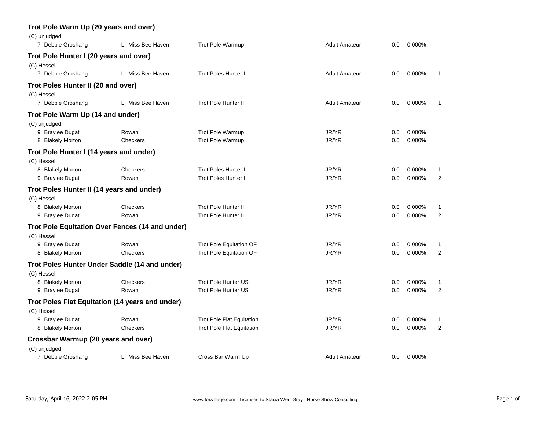| (C) unjudged,                             |                                                 |                                  |                      |     |        |                |
|-------------------------------------------|-------------------------------------------------|----------------------------------|----------------------|-----|--------|----------------|
| 7 Debbie Groshang                         | Lil Miss Bee Haven                              | <b>Trot Pole Warmup</b>          | <b>Adult Amateur</b> | 0.0 | 0.000% |                |
| Trot Pole Hunter I (20 years and over)    |                                                 |                                  |                      |     |        |                |
| (C) Hessel,                               |                                                 |                                  |                      |     |        |                |
| 7 Debbie Groshang                         | Lil Miss Bee Haven                              | <b>Trot Poles Hunter I</b>       | <b>Adult Amateur</b> | 0.0 | 0.000% | -1             |
| Trot Poles Hunter II (20 and over)        |                                                 |                                  |                      |     |        |                |
| (C) Hessel,                               |                                                 |                                  |                      |     |        |                |
| 7 Debbie Groshang                         | Lil Miss Bee Haven                              | <b>Trot Pole Hunter II</b>       | <b>Adult Amateur</b> | 0.0 | 0.000% |                |
| Trot Pole Warm Up (14 and under)          |                                                 |                                  |                      |     |        |                |
| (C) unjudged,                             |                                                 |                                  |                      |     |        |                |
| 9 Braylee Dugat                           | Rowan                                           | <b>Trot Pole Warmup</b>          | JR/YR                | 0.0 | 0.000% |                |
| 8 Blakely Morton                          | Checkers                                        | <b>Trot Pole Warmup</b>          | JR/YR                | 0.0 | 0.000% |                |
| Trot Pole Hunter I (14 years and under)   |                                                 |                                  |                      |     |        |                |
| (C) Hessel,                               |                                                 |                                  |                      |     |        |                |
| 8 Blakely Morton                          | Checkers                                        | <b>Trot Poles Hunter I</b>       | JR/YR                | 0.0 | 0.000% | 1              |
| 9 Braylee Dugat                           | Rowan                                           | <b>Trot Poles Hunter I</b>       | JR/YR                | 0.0 | 0.000% | $\overline{2}$ |
| Trot Poles Hunter II (14 years and under) |                                                 |                                  |                      |     |        |                |
| (C) Hessel,                               |                                                 |                                  |                      |     |        |                |
| 8 Blakely Morton                          | Checkers                                        | <b>Trot Pole Hunter II</b>       | JR/YR                | 0.0 | 0.000% | 1              |
| 9 Braylee Dugat                           | Rowan                                           | <b>Trot Pole Hunter II</b>       | JR/YR                | 0.0 | 0.000% | $\overline{2}$ |
|                                           | Trot Pole Equitation Over Fences (14 and under) |                                  |                      |     |        |                |
| (C) Hessel,                               |                                                 |                                  |                      |     |        |                |
| 9 Braylee Dugat                           | Rowan                                           | <b>Trot Pole Equitation OF</b>   | JR/YR                | 0.0 | 0.000% | 1              |
| 8 Blakely Morton                          | Checkers                                        | <b>Trot Pole Equitation OF</b>   | JR/YR                | 0.0 | 0.000% | $\overline{2}$ |
|                                           | Trot Poles Hunter Under Saddle (14 and under)   |                                  |                      |     |        |                |
| (C) Hessel,                               |                                                 |                                  |                      |     |        |                |
| 8 Blakely Morton                          | Checkers                                        | <b>Trot Pole Hunter US</b>       | JR/YR                | 0.0 | 0.000% | 1              |
| 9 Braylee Dugat                           | Rowan                                           | <b>Trot Pole Hunter US</b>       | JR/YR                | 0.0 | 0.000% | $\overline{2}$ |
|                                           | Trot Poles Flat Equitation (14 years and under) |                                  |                      |     |        |                |
| (C) Hessel,                               |                                                 |                                  |                      |     |        |                |
| 9 Braylee Dugat                           | Rowan                                           | <b>Trot Pole Flat Equitation</b> | JR/YR                | 0.0 | 0.000% | 1              |
| 8 Blakely Morton                          | Checkers                                        | <b>Trot Pole Flat Equitation</b> | JR/YR                | 0.0 | 0.000% | $\overline{2}$ |
| Crossbar Warmup (20 years and over)       |                                                 |                                  |                      |     |        |                |
| (C) unjudged,                             |                                                 |                                  |                      |     |        |                |
| 7 Debbie Groshang                         | Lil Miss Bee Haven                              | Cross Bar Warm Up                | <b>Adult Amateur</b> | 0.0 | 0.000% |                |

## **Trot Pole Warm Up (20 years and over)**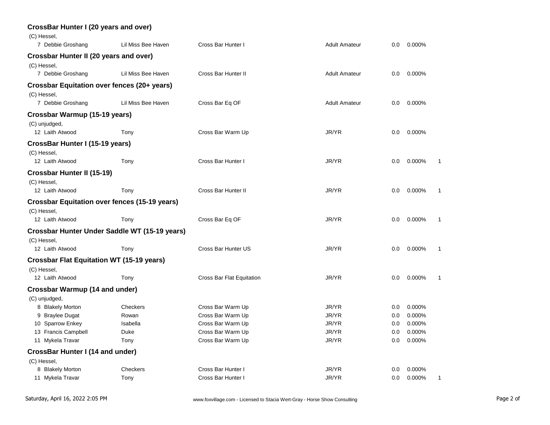| <b>CrossBar Hunter I (20 years and over)</b><br>(C) Hessel, |                                               |                            |                      |     |        |  |
|-------------------------------------------------------------|-----------------------------------------------|----------------------------|----------------------|-----|--------|--|
| 7 Debbie Groshang                                           | Lil Miss Bee Haven                            | Cross Bar Hunter I         | <b>Adult Amateur</b> | 0.0 | 0.000% |  |
| Crossbar Hunter II (20 years and over)<br>(C) Hessel,       |                                               |                            |                      |     |        |  |
| 7 Debbie Groshang                                           | Lil Miss Bee Haven                            | Cross Bar Hunter II        | <b>Adult Amateur</b> | 0.0 | 0.000% |  |
| Crossbar Equitation over fences (20+ years)<br>(C) Hessel,  |                                               |                            |                      |     |        |  |
| 7 Debbie Groshang                                           | Lil Miss Bee Haven                            | Cross Bar Eq OF            | <b>Adult Amateur</b> | 0.0 | 0.000% |  |
| Crossbar Warmup (15-19 years)<br>(C) unjudged,              |                                               |                            |                      |     |        |  |
| 12 Laith Atwood                                             | Tony                                          | Cross Bar Warm Up          | JR/YR                | 0.0 | 0.000% |  |
| CrossBar Hunter I (15-19 years)<br>(C) Hessel,              |                                               |                            |                      |     |        |  |
| 12 Laith Atwood                                             | Tony                                          | Cross Bar Hunter I         | JR/YR                | 0.0 | 0.000% |  |
| <b>Crossbar Hunter II (15-19)</b><br>(C) Hessel,            |                                               |                            |                      |     |        |  |
| 12 Laith Atwood                                             | Tony                                          | <b>Cross Bar Hunter II</b> | JR/YR                | 0.0 | 0.000% |  |
| <b>Crossbar Equitation over fences (15-19 years)</b>        |                                               |                            |                      |     |        |  |
| (C) Hessel,                                                 |                                               |                            |                      |     |        |  |
| 12 Laith Atwood                                             | Tony                                          | Cross Bar Eq OF            | JR/YR                | 0.0 | 0.000% |  |
| (C) Hessel,                                                 | Crossbar Hunter Under Saddle WT (15-19 years) |                            |                      |     |        |  |
| 12 Laith Atwood                                             | Tony                                          | Cross Bar Hunter US        | JR/YR                | 0.0 | 0.000% |  |
| <b>Crossbar Flat Equitation WT (15-19 years)</b>            |                                               |                            |                      |     |        |  |
| (C) Hessel,                                                 |                                               |                            |                      |     |        |  |
| 12 Laith Atwood                                             | Tony                                          | Cross Bar Flat Equitation  | JR/YR                | 0.0 | 0.000% |  |
| <b>Crossbar Warmup (14 and under)</b>                       |                                               |                            |                      |     |        |  |
| (C) unjudged,                                               |                                               |                            |                      |     |        |  |
| 8 Blakely Morton                                            | Checkers                                      | Cross Bar Warm Up          | JR/YR                | 0.0 | 0.000% |  |
| 9 Braylee Dugat                                             | Rowan                                         | Cross Bar Warm Up          | JR/YR                | 0.0 | 0.000% |  |
| 10 Sparrow Enkey                                            | Isabella                                      | Cross Bar Warm Up          | JR/YR                | 0.0 | 0.000% |  |
| 13 Francis Campbell                                         | Duke                                          | Cross Bar Warm Up          | JR/YR                | 0.0 | 0.000% |  |
| 11 Mykela Travar                                            | Tony                                          | Cross Bar Warm Up          | JR/YR                | 0.0 | 0.000% |  |
| CrossBar Hunter I (14 and under)                            |                                               |                            |                      |     |        |  |
| (C) Hessel,                                                 |                                               |                            |                      |     |        |  |
| 8 Blakely Morton                                            | Checkers                                      | Cross Bar Hunter I         | JR/YR                | 0.0 | 0.000% |  |
| 11 Mykela Travar                                            | Tony                                          | Cross Bar Hunter I         | JR/YR                | 0.0 | 0.000% |  |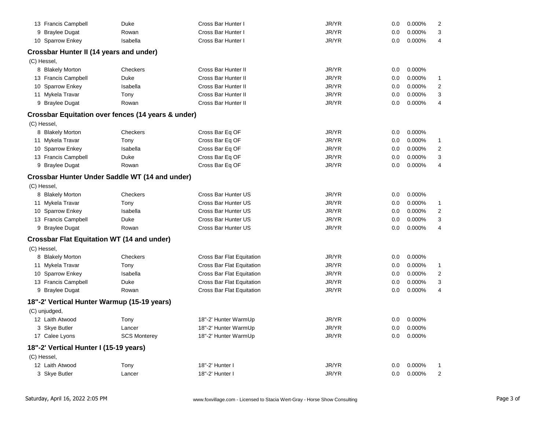| 13 Francis Campbell                     | Duke                                                          | Cross Bar Hunter I         | JR/YR | 0.0 | 0.000% | $\overline{2}$          |
|-----------------------------------------|---------------------------------------------------------------|----------------------------|-------|-----|--------|-------------------------|
| 9 Braylee Dugat                         | Rowan                                                         | Cross Bar Hunter I         | JR/YR | 0.0 | 0.000% | 3                       |
| 10 Sparrow Enkey                        | Isabella                                                      | Cross Bar Hunter I         | JR/YR | 0.0 | 0.000% | 4                       |
| Crossbar Hunter II (14 years and under) |                                                               |                            |       |     |        |                         |
| (C) Hessel,                             |                                                               |                            |       |     |        |                         |
| 8 Blakely Morton                        | Checkers                                                      | Cross Bar Hunter II        | JR/YR | 0.0 | 0.000% |                         |
| 13 Francis Campbell                     | Duke                                                          | Cross Bar Hunter II        | JR/YR | 0.0 | 0.000% | 1                       |
| 10 Sparrow Enkey                        | Isabella                                                      | Cross Bar Hunter II        | JR/YR | 0.0 | 0.000% | $\overline{\mathbf{c}}$ |
| 11 Mykela Travar                        | Tony                                                          | Cross Bar Hunter II        | JR/YR | 0.0 | 0.000% | 3                       |
| 9 Braylee Dugat                         | Rowan                                                         | <b>Cross Bar Hunter II</b> | JR/YR | 0.0 | 0.000% | 4                       |
|                                         | <b>Crossbar Equitation over fences (14 years &amp; under)</b> |                            |       |     |        |                         |
| (C) Hessel,                             |                                                               |                            |       |     |        |                         |
| 8 Blakely Morton                        | Checkers                                                      | Cross Bar Eq OF            | JR/YR | 0.0 | 0.000% |                         |
| 11 Mykela Travar                        | Tony                                                          | Cross Bar Eq OF            | JR/YR | 0.0 | 0.000% | 1                       |
| 10 Sparrow Enkey                        | Isabella                                                      | Cross Bar Eq OF            | JR/YR | 0.0 | 0.000% | $\overline{2}$          |
| 13 Francis Campbell                     | Duke                                                          | Cross Bar Eq OF            | JR/YR | 0.0 | 0.000% | 3                       |
| 9 Braylee Dugat                         | Rowan                                                         | Cross Bar Eq OF            | JR/YR | 0.0 | 0.000% | 4                       |
|                                         | <b>Crossbar Hunter Under Saddle WT (14 and under)</b>         |                            |       |     |        |                         |
| (C) Hessel,                             |                                                               |                            |       |     |        |                         |
| 8 Blakely Morton                        | Checkers                                                      | Cross Bar Hunter US        | JR/YR | 0.0 | 0.000% |                         |
| 11 Mykela Travar                        | Tony                                                          | Cross Bar Hunter US        | JR/YR | 0.0 | 0.000% | 1                       |
| 10 Sparrow Enkey                        | Isabella                                                      | Cross Bar Hunter US        | JR/YR | 0.0 | 0.000% | $\overline{2}$          |
| 13 Francis Campbell                     | Duke                                                          | Cross Bar Hunter US        | JR/YR | 0.0 | 0.000% | 3                       |
| 9 Braylee Dugat                         | Rowan                                                         | Cross Bar Hunter US        | JR/YR | 0.0 | 0.000% | 4                       |
|                                         | <b>Crossbar Flat Equitation WT (14 and under)</b>             |                            |       |     |        |                         |
| (C) Hessel,                             |                                                               |                            |       |     |        |                         |
| 8 Blakely Morton                        | Checkers                                                      | Cross Bar Flat Equitation  | JR/YR | 0.0 | 0.000% |                         |
| 11 Mykela Travar                        | Tony                                                          | Cross Bar Flat Equitation  | JR/YR | 0.0 | 0.000% | 1                       |
| 10 Sparrow Enkey                        | Isabella                                                      | Cross Bar Flat Equitation  | JR/YR | 0.0 | 0.000% | $\overline{2}$          |
| 13 Francis Campbell                     | Duke                                                          | Cross Bar Flat Equitation  | JR/YR | 0.0 | 0.000% | 3                       |
| 9 Braylee Dugat                         | Rowan                                                         | Cross Bar Flat Equitation  | JR/YR | 0.0 | 0.000% | 4                       |
|                                         | 18"-2' Vertical Hunter Warmup (15-19 years)                   |                            |       |     |        |                         |
| (C) unjudged,                           |                                                               |                            |       |     |        |                         |
| 12 Laith Atwood                         | Tony                                                          | 18"-2' Hunter WarmUp       | JR/YR | 0.0 | 0.000% |                         |
| 3 Skye Butler                           | Lancer                                                        | 18"-2' Hunter WarmUp       | JR/YR | 0.0 | 0.000% |                         |
| 17 Calee Lyons                          | <b>SCS Monterey</b>                                           | 18"-2' Hunter WarmUp       | JR/YR | 0.0 | 0.000% |                         |
| 18"-2' Vertical Hunter I (15-19 years)  |                                                               |                            |       |     |        |                         |
| (C) Hessel,                             |                                                               |                            |       |     |        |                         |
| 12 Laith Atwood                         | Tony                                                          | 18"-2' Hunter I            | JR/YR | 0.0 | 0.000% | 1                       |
| 3 Skye Butler                           | Lancer                                                        | 18"-2' Hunter I            | JR/YR | 0.0 | 0.000% | $\overline{2}$          |
|                                         |                                                               |                            |       |     |        |                         |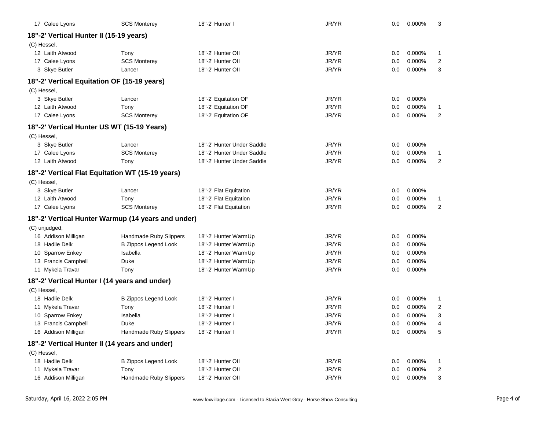| 17 Calee Lyons                                 | <b>SCS Monterey</b>                                | 18"-2' Hunter I            | JR/YR | 0.0     | 0.000% | 3              |
|------------------------------------------------|----------------------------------------------------|----------------------------|-------|---------|--------|----------------|
| 18"-2' Vertical Hunter II (15-19 years)        |                                                    |                            |       |         |        |                |
| (C) Hessel,                                    |                                                    |                            |       |         |        |                |
| 12 Laith Atwood                                | Tony                                               | 18"-2' Hunter OII          | JR/YR | 0.0     | 0.000% | $\mathbf{1}$   |
| 17 Calee Lyons                                 | <b>SCS Monterey</b>                                | 18"-2' Hunter OII          | JR/YR | 0.0     | 0.000% | 2              |
| 3 Skye Butler                                  | Lancer                                             | 18"-2' Hunter OII          | JR/YR | 0.0     | 0.000% | 3              |
| 18"-2' Vertical Equitation OF (15-19 years)    |                                                    |                            |       |         |        |                |
| (C) Hessel,                                    |                                                    |                            |       |         |        |                |
| 3 Skye Butler                                  | Lancer                                             | 18"-2' Equitation OF       | JR/YR | 0.0     | 0.000% |                |
| 12 Laith Atwood                                | Tony                                               | 18"-2' Equitation OF       | JR/YR | 0.0     | 0.000% | 1              |
| 17 Calee Lyons                                 | <b>SCS Monterey</b>                                | 18"-2' Equitation OF       | JR/YR | 0.0     | 0.000% | $\overline{2}$ |
| 18"-2' Vertical Hunter US WT (15-19 Years)     |                                                    |                            |       |         |        |                |
| (C) Hessel,                                    |                                                    |                            |       |         |        |                |
| 3 Skye Butler                                  | Lancer                                             | 18"-2' Hunter Under Saddle | JR/YR | 0.0     | 0.000% |                |
| 17 Calee Lyons                                 | <b>SCS Monterey</b>                                | 18"-2' Hunter Under Saddle | JR/YR | 0.0     | 0.000% | 1              |
| 12 Laith Atwood                                | Tony                                               | 18"-2' Hunter Under Saddle | JR/YR | 0.0     | 0.000% | 2              |
|                                                | 18"-2' Vertical Flat Equitation WT (15-19 years)   |                            |       |         |        |                |
| (C) Hessel,                                    |                                                    |                            |       |         |        |                |
| 3 Skye Butler                                  | Lancer                                             | 18"-2' Flat Equitation     | JR/YR | 0.0     | 0.000% |                |
| 12 Laith Atwood                                | Tony                                               | 18"-2' Flat Equitation     | JR/YR | 0.0     | 0.000% | 1              |
| 17 Calee Lyons                                 | <b>SCS Monterey</b>                                | 18"-2' Flat Equitation     | JR/YR | 0.0     | 0.000% | 2              |
|                                                | 18"-2' Vertical Hunter Warmup (14 years and under) |                            |       |         |        |                |
| (C) unjudged,                                  |                                                    |                            |       |         |        |                |
| 16 Addison Milligan                            | Handmade Ruby Slippers                             | 18"-2' Hunter WarmUp       | JR/YR | 0.0     | 0.000% |                |
| 18 Hadlie Delk                                 | <b>B Zippos Legend Look</b>                        | 18"-2' Hunter WarmUp       | JR/YR | 0.0     | 0.000% |                |
| 10 Sparrow Enkey                               | Isabella                                           | 18"-2' Hunter WarmUp       | JR/YR | 0.0     | 0.000% |                |
| 13 Francis Campbell                            | Duke                                               | 18"-2' Hunter WarmUp       | JR/YR | 0.0     | 0.000% |                |
| 11 Mykela Travar                               | Tony                                               | 18"-2' Hunter WarmUp       | JR/YR | 0.0     | 0.000% |                |
| 18"-2' Vertical Hunter I (14 years and under)  |                                                    |                            |       |         |        |                |
| (C) Hessel,                                    |                                                    |                            |       |         |        |                |
| 18 Hadlie Delk                                 | <b>B Zippos Legend Look</b>                        | 18"-2' Hunter I            | JR/YR | 0.0     | 0.000% | $\mathbf{1}$   |
| 11 Mykela Travar                               | Tony                                               | 18"-2' Hunter I            | JR/YR | 0.0     | 0.000% | 2              |
| 10 Sparrow Enkey                               | Isabella                                           | 18"-2' Hunter I            | JR/YR | 0.0     | 0.000% | 3              |
| 13 Francis Campbell                            | Duke                                               | 18"-2' Hunter I            | JR/YR | 0.0     | 0.000% | 4              |
| 16 Addison Milligan                            | Handmade Ruby Slippers                             | 18"-2' Hunter I            | JR/YR | $0.0\,$ | 0.000% | 5              |
| 18"-2' Vertical Hunter II (14 years and under) |                                                    |                            |       |         |        |                |
| (C) Hessel,                                    |                                                    |                            |       |         |        |                |
| 18 Hadlie Delk                                 | <b>B Zippos Legend Look</b>                        | 18"-2' Hunter Oll          | JR/YR | 0.0     | 0.000% | $\mathbf{1}$   |
| 11 Mykela Travar                               | Tony                                               | 18"-2' Hunter Oll          | JR/YR | 0.0     | 0.000% | 2              |
| 16 Addison Milligan                            | Handmade Ruby Slippers                             | 18"-2' Hunter Oll          | JR/YR | 0.0     | 0.000% | 3              |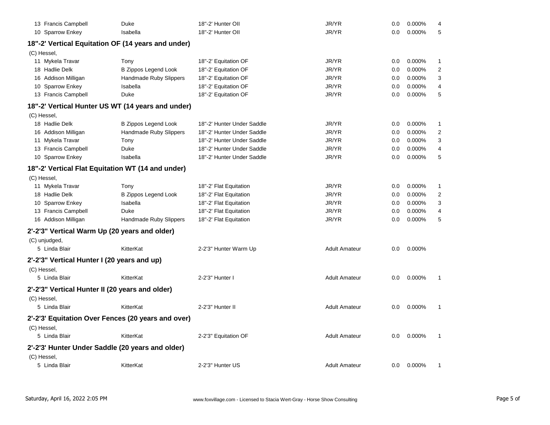| 13 Francis Campbell                                | Duke                        | 18"-2' Hunter OII          | JR/YR                | 0.0     | 0.000% | 4                |
|----------------------------------------------------|-----------------------------|----------------------------|----------------------|---------|--------|------------------|
| 10 Sparrow Enkey                                   | Isabella                    | 18"-2' Hunter OII          | JR/YR                | 0.0     | 0.000% | 5                |
| 18"-2' Vertical Equitation OF (14 years and under) |                             |                            |                      |         |        |                  |
| (C) Hessel,                                        |                             |                            |                      |         |        |                  |
| 11 Mykela Travar                                   | Tony                        | 18"-2' Equitation OF       | JR/YR                | 0.0     | 0.000% | 1                |
| 18 Hadlie Delk                                     | <b>B Zippos Legend Look</b> | 18"-2' Equitation OF       | JR/YR                | 0.0     | 0.000% | $\boldsymbol{2}$ |
| 16 Addison Milligan                                | Handmade Ruby Slippers      | 18"-2' Equitation OF       | JR/YR                | 0.0     | 0.000% | 3                |
| 10 Sparrow Enkey                                   | Isabella                    | 18"-2' Equitation OF       | JR/YR                | 0.0     | 0.000% | 4                |
| 13 Francis Campbell                                | Duke                        | 18"-2' Equitation OF       | JR/YR                | 0.0     | 0.000% | 5                |
| 18"-2' Vertical Hunter US WT (14 years and under)  |                             |                            |                      |         |        |                  |
| (C) Hessel,                                        |                             |                            |                      |         |        |                  |
| 18 Hadlie Delk                                     | <b>B Zippos Legend Look</b> | 18"-2' Hunter Under Saddle | JR/YR                | 0.0     | 0.000% | 1                |
| 16 Addison Milligan                                | Handmade Ruby Slippers      | 18"-2' Hunter Under Saddle | JR/YR                | 0.0     | 0.000% | $\overline{2}$   |
| 11 Mykela Travar                                   | Tony                        | 18"-2' Hunter Under Saddle | JR/YR                | 0.0     | 0.000% | 3                |
| 13 Francis Campbell                                | Duke                        | 18"-2' Hunter Under Saddle | JR/YR                | 0.0     | 0.000% | 4                |
| 10 Sparrow Enkey                                   | Isabella                    | 18"-2' Hunter Under Saddle | JR/YR                | 0.0     | 0.000% | 5                |
| 18"-2' Vertical Flat Equitation WT (14 and under)  |                             |                            |                      |         |        |                  |
| (C) Hessel,                                        |                             |                            |                      |         |        |                  |
| 11 Mykela Travar                                   | Tony                        | 18"-2' Flat Equitation     | JR/YR                | 0.0     | 0.000% | 1                |
| 18 Hadlie Delk                                     | <b>B Zippos Legend Look</b> | 18"-2' Flat Equitation     | JR/YR                | 0.0     | 0.000% | 2                |
| 10 Sparrow Enkey                                   | Isabella                    | 18"-2' Flat Equitation     | JR/YR                | 0.0     | 0.000% | 3                |
| 13 Francis Campbell                                | <b>Duke</b>                 | 18"-2' Flat Equitation     | JR/YR                | 0.0     | 0.000% | 4                |
| 16 Addison Milligan                                | Handmade Ruby Slippers      | 18"-2' Flat Equitation     | JR/YR                | 0.0     | 0.000% | 5                |
| 2'-2'3" Vertical Warm Up (20 years and older)      |                             |                            |                      |         |        |                  |
| (C) unjudged,                                      |                             |                            |                      |         |        |                  |
| 5 Linda Blair                                      | KitterKat                   | 2-2'3" Hunter Warm Up      | <b>Adult Amateur</b> | 0.0     | 0.000% |                  |
| 2'-2'3" Vertical Hunter I (20 years and up)        |                             |                            |                      |         |        |                  |
| (C) Hessel,                                        |                             |                            |                      |         |        |                  |
| 5 Linda Blair                                      | KitterKat                   | 2-2'3" Hunter I            | <b>Adult Amateur</b> | 0.0     | 0.000% | 1                |
| 2'-2'3" Vertical Hunter II (20 years and older)    |                             |                            |                      |         |        |                  |
| (C) Hessel,                                        |                             |                            |                      |         |        |                  |
| 5 Linda Blair                                      | KitterKat                   | 2-2'3" Hunter II           | <b>Adult Amateur</b> | 0.0     | 0.000% | 1                |
| 2'-2'3' Equitation Over Fences (20 years and over) |                             |                            |                      |         |        |                  |
| (C) Hessel,                                        |                             |                            |                      |         |        |                  |
| 5 Linda Blair                                      | KitterKat                   | 2-2'3" Equitation OF       | <b>Adult Amateur</b> | 0.0     | 0.000% | 1                |
| 2'-2'3' Hunter Under Saddle (20 years and older)   |                             |                            |                      |         |        |                  |
| (C) Hessel,                                        |                             |                            |                      |         |        |                  |
| 5 Linda Blair                                      | KitterKat                   | 2-2'3" Hunter US           | <b>Adult Amateur</b> | $0.0\,$ | 0.000% | 1                |
|                                                    |                             |                            |                      |         |        |                  |